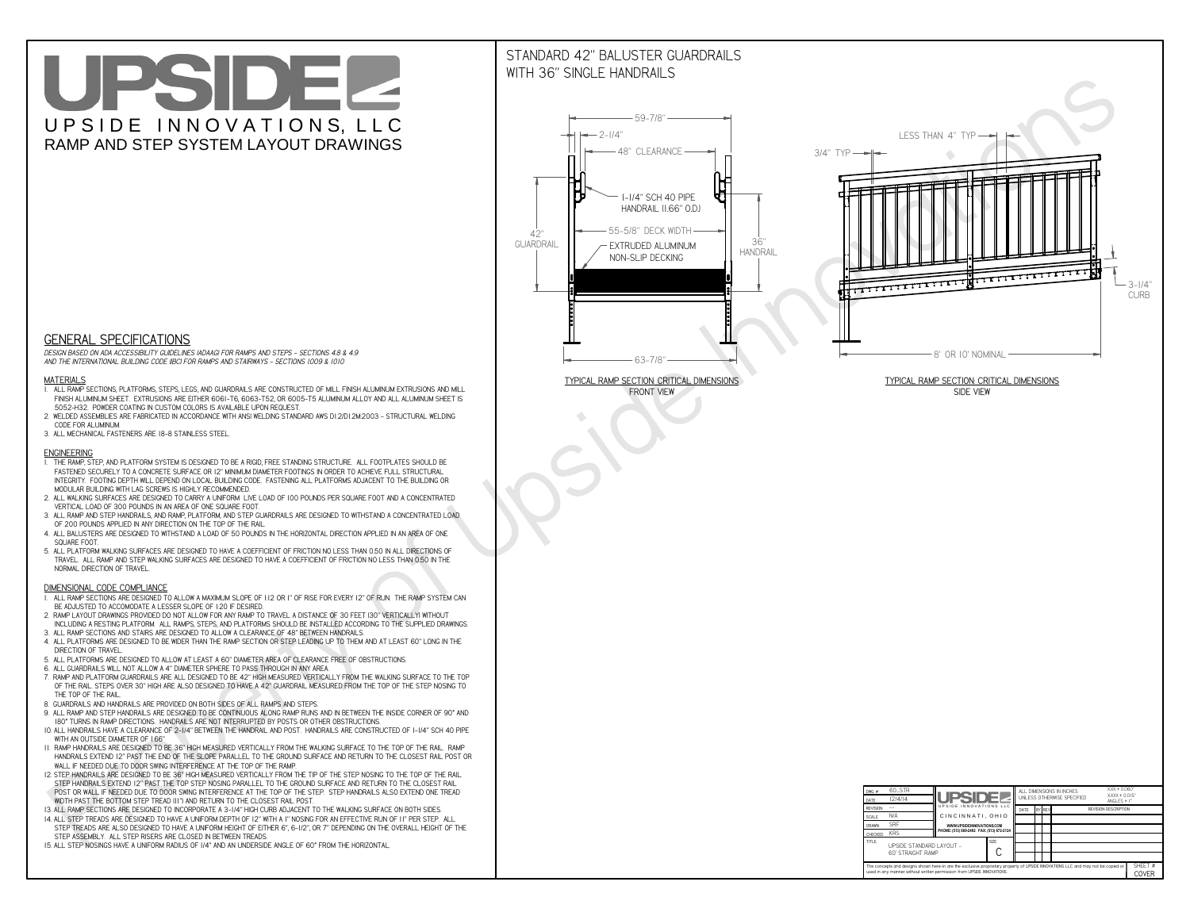# UPSIDEL UPSIDE INNOVATIONS, LLC RAMP AND STEP SYSTEM LAYOUT DRAWINGS

## STANDARD 42" BALUSTER GUARDRAILSWITH 36" SINGLE HANDRAILS

**FRONT VIEW**





**GENERAL SPECIFICATIONS**

 *DESIGN BASED ON ADA ACCESSIBILITY GUIDELINES (ADAAG) FOR RAMPS AND STEPS - SECTIONS 4.8 & 4.9AND THE INTERNATIONAL BUILDING CODE (IBC) FOR RAMPS AND STAIRWAYS - SECTIONS 1009 & 1010*

#### **MATERIALS**

- **1. ALL RAMP SECTIONS, PLATFORMS, STEPS, LEGS, AND GUARDRAILS ARE CONSTRUCTED OF MILL FINISH ALUMINUM EXTRUSIONS AND MILL FINISH ALUMINUM SHEET. EXTRUSIONS ARE EITHER 6061-T6, 6063-T52, OR 6005-T5 ALUMINUM ALLOY AND ALL ALUMINUM SHEET IS 5052-H32. POWDER COATING IN CUSTOM COLORS IS AVAILABLE UPON REQUEST.**
- **2. WELDED ASSEMBLIES ARE FABRICATED IN ACCORDANCE WITH ANSI WELDING STANDARD AWS D1.2/D1.2M:2003 STRUCTURAL WELDING CODE FOR ALUMINUM.**
- **3. ALL MECHANICAL FASTENERS ARE 18-8 STAINLESS STEEL.**

#### **ENGINEERING**

- **1. THE RAMP, STEP, AND PLATFORM SYSTEM IS DESIGNED TO BE A RIGID, FREE STANDING STRUCTURE. ALL FOOTPLATES SHOULD BE FASTENED SECURELY TO A CONCRETE SURFACE OR 12" MINIMUM DIAMETER FOOTINGS IN ORDER TO ACHIEVE FULL STRUCTURAL INTEGRITY. FOOTING DEPTH WILL DEPEND ON LOCAL BUILDING CODE. FASTENING ALL PLATFORMS ADJACENT TO THE BUILDING OR MODULAR BUILDING WITH LAG SCREWS IS HIGHLY RECOMMENDED.**
- **2. ALL WALKING SURFACES ARE DESIGNED TO CARRY A UNIFORM LIVE LOAD OF 100 POUNDS PER SQUARE FOOT AND A CONCENTRATED VERTICAL LOAD OF 300 POUNDS IN AN AREA OF ONE SQUARE FOOT.**
- **3. ALL RAMP AND STEP HANDRAILS, AND RAMP, PLATFORM, AND STEP GUARDRAILS ARE DESIGNED TO WITHSTAND A CONCENTRATED LOAD OF 200 POUNDS APPLIED IN ANY DIRECTION ON THE TOP OF THE RAIL.**
- **4. ALL BALUSTERS ARE DESIGNED TO WITHSTAND A LOAD OF 50 POUNDS IN THE HORIZONTAL DIRECTION APPLIED IN AN AREA OF ONE SQUARE FOOT.**
- **5. ALL PLATFORM WALKING SURFACES ARE DESIGNED TO HAVE A COEFFICIENT OF FRICTION NO LESS THAN 0.50 IN ALL DIRECTIONS OF TRAVEL. ALL RAMP AND STEP WALKING SURFACES ARE DESIGNED TO HAVE A COEFFICIENT OF FRICTION NO LESS THAN 0.50 IN THE NORMAL DIRECTION OF TRAVEL.**

| $DWG.$ #<br>DATE                                                                                                                                                                                            | 60_STR<br>12/4/14                             | <b>UPSIDEZ</b>                            |             |      |        | ALL DIMENSIONS IN INCHES<br>UNLESS OTHERWISE SPECIFIED | XXX ± 0.060"<br>$XXX \pm 0.015$ "<br>ANGLES $\pm$ 1° |  |
|-------------------------------------------------------------------------------------------------------------------------------------------------------------------------------------------------------------|-----------------------------------------------|-------------------------------------------|-------------|------|--------|--------------------------------------------------------|------------------------------------------------------|--|
| <b>REVISION</b>                                                                                                                                                                                             |                                               | UPSIDE INNOVATIONS LLC                    |             | DATE | BY REV |                                                        | <b>REVISION DESCRIPTION</b>                          |  |
| <b>SCALE</b>                                                                                                                                                                                                | N/A                                           | CINCINNATI, OHIO                          |             |      |        |                                                        |                                                      |  |
| <b>DRAWN</b>                                                                                                                                                                                                | <b>SRF</b>                                    | WWW.UPSIDEINNOVATIONS.COM                 |             |      |        |                                                        |                                                      |  |
| CHECKED                                                                                                                                                                                                     | <b>KRS</b>                                    | PHONE: (513) 889-2492 FAX: (513) 672-2124 |             |      |        |                                                        |                                                      |  |
| <b>TITLE</b>                                                                                                                                                                                                | UPSIDE STANDARD LAYOUT -<br>60' STRAIGHT RAMP |                                           | <b>SIZE</b> |      |        |                                                        |                                                      |  |
| The concepts and designs shown here-in are the exclusive proprietary property of UPSIDE INNOVATIONS LLC. and may not be copied or<br>used in any manner without written permission from UPSIDE INNOVATIONS. |                                               |                                           |             |      |        |                                                        | SHEET #<br><b>COVER</b>                              |  |

### **DIMENSIONAL CODE COMPLIANCE**

- **1. ALL RAMP SECTIONS ARE DESIGNED TO ALLOW A MAXIMUM SLOPE OF 1:12 OR 1" OF RISE FOR EVERY 12" OF RUN. THE RAMP SYSTEM CAN BE ADJUSTED TO ACCOMODATE A LESSER SLOPE OF 1:20 IF DESIRED.**
- **2. RAMP LAYOUT DRAWINGS PROVIDED DO NOT ALLOW FOR ANY RAMP TO TRAVEL A DISTANCE OF 30 FEET (30" VERTICALLY) WITHOUT INCLUDING A RESTING PLATFORM. ALL RAMPS, STEPS, AND PLATFORMS SHOULD BE INSTALLED ACCORDING TO THE SUPPLIED DRAWINGS.**
- **3. ALL RAMP SECTIONS AND STAIRS ARE DESIGNED TO ALLOW A CLEARANCE OF 48" BETWEEN HANDRAILS.**
- **4. ALL PLATFORMS ARE DESIGNED TO BE WIDER THAN THE RAMP SECTION OR STEP LEADING UP TO THEM AND AT LEAST 60" LONG IN THE DIRECTION OF TRAVEL.**
- **5. ALL PLATFORMS ARE DESIGNED TO ALLOW AT LEAST A 60" DIAMETER AREA OF CLEARANCE FREE OF OBSTRUCTIONS.**
- **6. ALL GUARDRAILS WILL NOT ALLOW A 4" DIAMETER SPHERE TO PASS THROUGH IN ANY AREA.**
- **7. RAMP AND PLATFORM GUARDRAILS ARE ALL DESIGNED TO BE 42" HIGH MEASURED VERTICALLY FROM THE WALKING SURFACE TO THE TOP OF THE RAIL. STEPS OVER 30" HIGH ARE ALSO DESIGNED TO HAVE A 42" GUARDRAIL MEASURED FROM THE TOP OF THE STEP NOSING TO THE TOP OF THE RAIL.**
- **8. GUARDRAILS AND HANDRAILS ARE PROVIDED ON BOTH SIDES OF ALL RAMPS AND STEPS.**
- **9. ALL RAMP AND STEP HANDRAILS ARE DESIGNED TO BE CONTINUOUS ALONG RAMP RUNS AND IN BETWEEN THE INSIDE CORNER OF 90° AND 180° TURNS IN RAMP DIRECTIONS. HANDRAILS ARE NOT INTERRUPTED BY POSTS OR OTHER OBSTRUCTIONS.**
- **10. ALL HANDRAILS HAVE A CLEARANCE OF 2-1/4" BETWEEN THE HANDRAIL AND POST. HANDRAILS ARE CONSTRUCTED OF 1-1/4" SCH 40 PIPE WITH AN OUTSIDE DIAMETER OF 1.66"**
- **11. RAMP HANDRAILS ARE DESIGNED TO BE 36" HIGH MEASURED VERTICALLY FROM THE WALKING SURFACE TO THE TOP OF THE RAIL. RAMP HANDRAILS EXTEND 12" PAST THE END OF THE SLOPE PARALLEL TO THE GROUND SURFACE AND RETURN TO THE CLOSEST RAIL POST OR WALL IF NEEDED DUE TO DOOR SWING INTERFERENCE AT THE TOP OF THE RAMP.**
- **12. STEP HANDRAILS ARE DESIGNED TO BE 36" HIGH MEASURED VERTICALLY FROM THE TIP OF THE STEP NOSING TO THE TOP OF THE RAIL. STEP HANDRAILS EXTEND 12" PAST THE TOP STEP NOSING PARALLEL TO THE GROUND SURFACE AND RETURN TO THE CLOSEST RAIL POST OR WALL IF NEEDED DUE TO DOOR SWING INTERFERENCE AT THE TOP OF THE STEP. STEP HANDRAILS ALSO EXTEND ONE TREAD**
- **WIDTH PAST THE BOTTOM STEP TREAD (11") AND RETURN TO THE CLOSEST RAIL POST.**
- **13. ALL RAMP SECTIONS ARE DESIGNED TO INCORPORATE A 3-1/4" HIGH CURB ADJACENT TO THE WALKING SURFACE ON BOTH SIDES.**
- **14. ALL STEP TREADS ARE DESIGNED TO HAVE A UNIFORM DEPTH OF 12" WITH A 1" NOSING FOR AN EFFECTIVE RUN OF 11" PER STEP. ALL STEP TREADS ARE ALSO DESIGNED TO HAVE A UNIFORM HEIGHT OF EITHER 6", 6-1/2", OR 7" DEPENDING ON THE OVERALL HEIGHT OF THE STEP ASSEMBLY. ALL STEP RISERS ARE CLOSED IN BETWEEN TREADS.**
- **15. ALL STEP NOSINGS HAVE A UNIFORM RADIUS OF 1/4" AND AN UNDERSIDE ANGLE OF 60° FROM THE HORIZONTAL.**